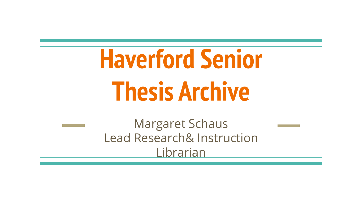## **Haverford Senior Thesis Archive**

Margaret Schaus Lead Research& Instruction Librarian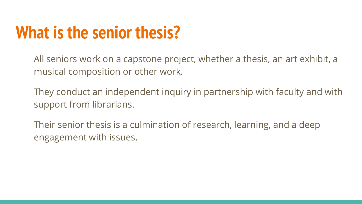## **What is the senior thesis?**

All seniors work on a capstone project, whether a thesis, an art exhibit, a musical composition or other work.

They conduct an independent inquiry in partnership with faculty and with support from librarians.

Their senior thesis is a culmination of research, learning, and a deep engagement with issues.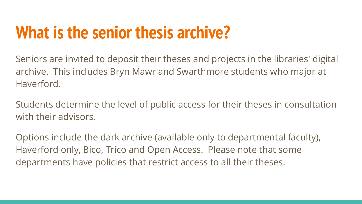## **What is the senior thesis archive?**

Seniors are invited to deposit their theses and projects in the libraries' digital archive. This includes Bryn Mawr and Swarthmore students who major at Haverford.

Students determine the level of public access for their theses in consultation with their advisors.

Options include the dark archive (available only to departmental faculty), Haverford only, Bico, Trico and Open Access. Please note that some departments have policies that restrict access to all their theses.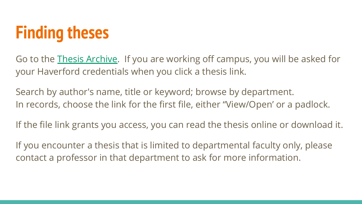

Go to the [Thesis Archive.](https://scholarship.tricolib.brynmawr.edu/handle/10066/105) If you are working off campus, you will be asked for your Haverford credentials when you click a thesis link.

Search by author's name, title or keyword; browse by department. In records, choose the link for the first file, either "View/Open' or a padlock.

If the file link grants you access, you can read the thesis online or download it.

If you encounter a thesis that is limited to departmental faculty only, please contact a professor in that department to ask for more information.